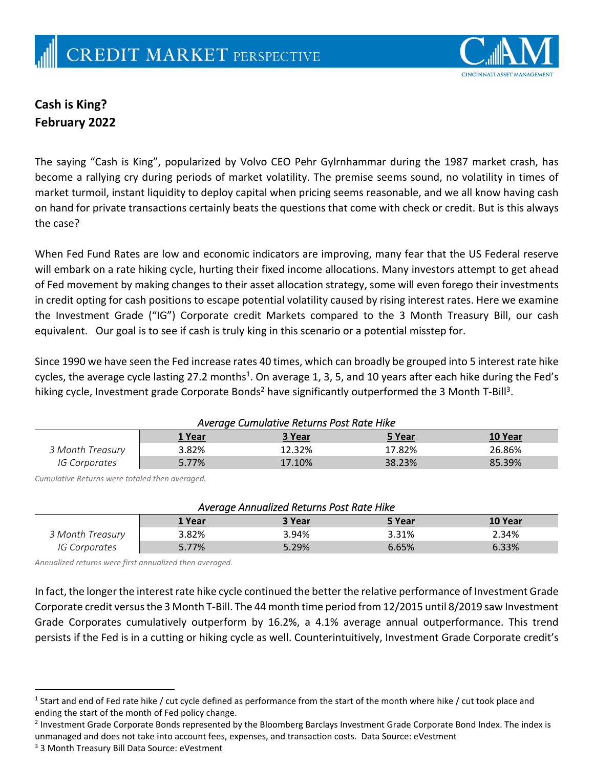

## **Cash is King? February 2022**

The saying "Cash is King", popularized by Volvo CEO Pehr Gylrnhammar during the 1987 market crash, has become a rallying cry during periods of market volatility. The premise seems sound, no volatility in times of market turmoil, instant liquidity to deploy capital when pricing seems reasonable, and we all know having cash on hand for private transactions certainly beats the questions that come with check or credit. But is this always the case?

When Fed Fund Rates are low and economic indicators are improving, many fear that the US Federal reserve will embark on a rate hiking cycle, hurting their fixed income allocations. Many investors attempt to get ahead of Fed movement by making changes to their asset allocation strategy, some will even forego their investments in credit opting for cash positions to escape potential volatility caused by rising interest rates. Here we examine the Investment Grade ("IG") Corporate credit Markets compared to the 3 Month Treasury Bill, our cash equivalent. Our goal is to see if cash is truly king in this scenario or a potential misstep for.

Since 1990 we have seen the Fed increase rates 40 times, which can broadly be grouped into 5 interest rate hike cycles, the average cycle lasting 27.2 months<sup>1</sup>. On average 1, 3, 5, and 10 years after each hike during the Fed's hiking cycle, Investment grade Corporate Bonds<sup>2</sup> have significantly outperformed the 3 Month T-Bill<sup>3</sup>.

| Average Cumulative Returns Post Rate Hike |        |        |        |         |  |  |
|-------------------------------------------|--------|--------|--------|---------|--|--|
|                                           | 1 Year | 3 Year | 5 Year | 10 Year |  |  |
| 3 Month Treasury                          | 3.82%  | 12.32% | 17.82% | 26.86%  |  |  |
| IG Corporates                             | 5.77%  | 17.10% | 38.23% | 85.39%  |  |  |

*Cumulative Returns were totaled then averaged.*

| Average Annualized Returns Post Rate Hike |        |        |               |         |  |  |
|-------------------------------------------|--------|--------|---------------|---------|--|--|
|                                           | 1 Year | 3 Year | <u>5 Year</u> | 10 Year |  |  |
| 3 Month Treasury                          | 3.82%  | 3.94%  | 3.31%         | 2.34%   |  |  |
| <i>IG Corporates</i>                      | 5.77%  | 5.29%  | 6.65%         | 6.33%   |  |  |

*Annualized returns were first annualized then averaged.*

In fact, the longer the interest rate hike cycle continued the better the relative performance of Investment Grade Corporate credit versus the 3 Month T-Bill. The 44 month time period from 12/2015 until 8/2019 saw Investment Grade Corporates cumulatively outperform by 16.2%, a 4.1% average annual outperformance. This trend persists if the Fed is in a cutting or hiking cycle as well. Counterintuitively, Investment Grade Corporate credit's

<sup>&</sup>lt;sup>1</sup> Start and end of Fed rate hike / cut cycle defined as performance from the start of the month where hike / cut took place and ending the start of the month of Fed policy change.

<sup>&</sup>lt;sup>2</sup> Investment Grade Corporate Bonds represented by the Bloomberg Barclays Investment Grade Corporate Bond Index. The index is unmanaged and does not take into account fees, expenses, and transaction costs. Data Source: eVestment

<sup>3</sup> 3 Month Treasury Bill Data Source: eVestment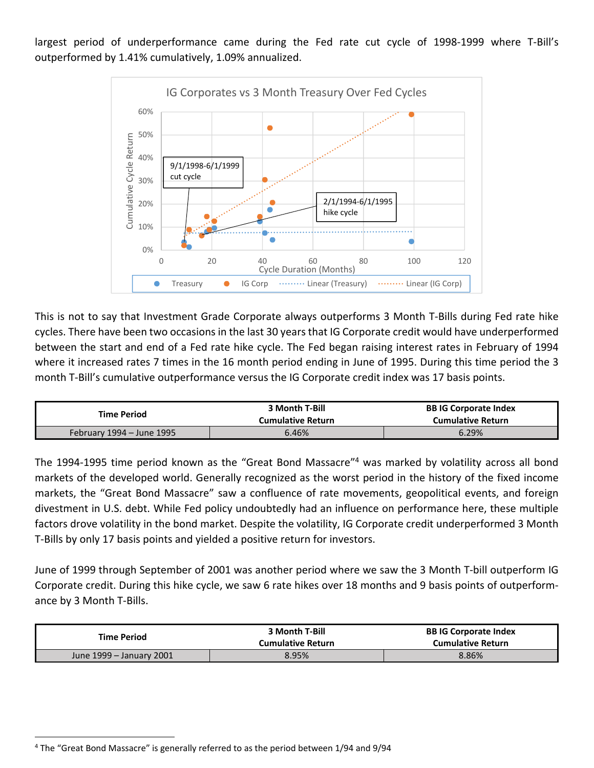largest period of underperformance came during the Fed rate cut cycle of 1998-1999 where T-Bill's outperformed by 1.41% cumulatively, 1.09% annualized.



This is not to say that Investment Grade Corporate always outperforms 3 Month T‐Bills during Fed rate hike cycles. There have been two occasions in the last 30 years that IG Corporate credit would have underperformed between the start and end of a Fed rate hike cycle. The Fed began raising interest rates in February of 1994 where it increased rates 7 times in the 16 month period ending in June of 1995. During this time period the 3 month T-Bill's cumulative outperformance versus the IG Corporate credit index was 17 basis points.

| <b>Time Period</b>        | 3 Month T-Bill<br><b>Cumulative Return</b> | <b>BB IG Corporate Index</b><br><b>Cumulative Return</b> |
|---------------------------|--------------------------------------------|----------------------------------------------------------|
| February 1994 – June 1995 | 6.46%                                      | 6.29%                                                    |

The 1994-1995 time period known as the "Great Bond Massacre"<sup>4</sup> was marked by volatility across all bond markets of the developed world. Generally recognized as the worst period in the history of the fixed income markets, the "Great Bond Massacre" saw a confluence of rate movements, geopolitical events, and foreign divestment in U.S. debt. While Fed policy undoubtedly had an influence on performance here, these multiple factors drove volatility in the bond market. Despite the volatility, IG Corporate credit underperformed 3 Month T‐Bills by only 17 basis points and yielded a positive return for investors.

June of 1999 through September of 2001 was another period where we saw the 3 Month T‐bill outperform IG Corporate credit. During this hike cycle, we saw 6 rate hikes over 18 months and 9 basis points of outperform‐ ance by 3 Month T‐Bills.

| <b>Time Period</b>       | 3 Month T-Bill<br><b>Cumulative Return</b> | <b>BB IG Corporate Index</b><br><b>Cumulative Return</b> |
|--------------------------|--------------------------------------------|----------------------------------------------------------|
| June 1999 – January 2001 | 8.95%                                      | 8.86%                                                    |

<sup>4</sup> The "Great Bond Massacre" is generally referred to as the period between 1/94 and 9/94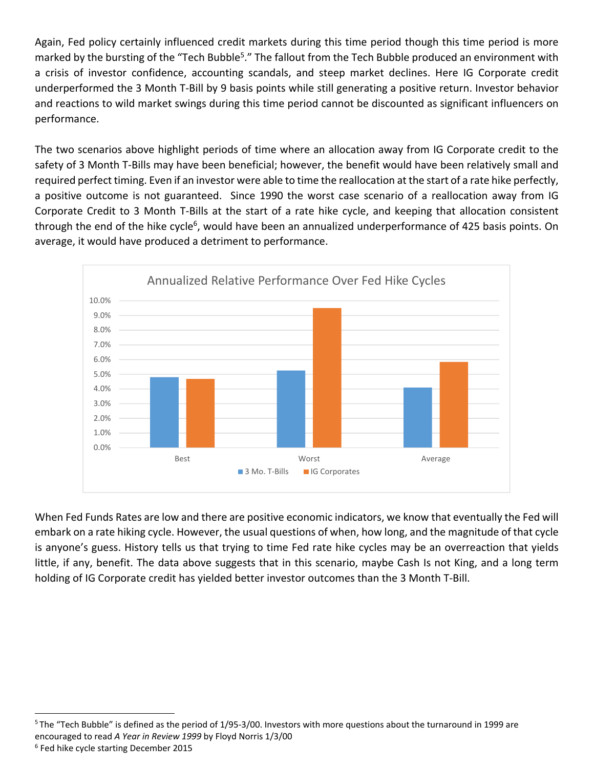Again, Fed policy certainly influenced credit markets during this time period though this time period is more marked by the bursting of the "Tech Bubble<sup>5</sup>." The fallout from the Tech Bubble produced an environment with a crisis of investor confidence, accounting scandals, and steep market declines. Here IG Corporate credit underperformed the 3 Month T‐Bill by 9 basis points while still generating a positive return. Investor behavior and reactions to wild market swings during this time period cannot be discounted as significant influencers on performance.

The two scenarios above highlight periods of time where an allocation away from IG Corporate credit to the safety of 3 Month T-Bills may have been beneficial; however, the benefit would have been relatively small and required perfect timing. Even if an investor were able to time the reallocation at the start of a rate hike perfectly, a positive outcome is not guaranteed. Since 1990 the worst case scenario of a reallocation away from IG Corporate Credit to 3 Month T‐Bills at the start of a rate hike cycle, and keeping that allocation consistent through the end of the hike cycle<sup>6</sup>, would have been an annualized underperformance of 425 basis points. On average, it would have produced a detriment to performance.



When Fed Funds Rates are low and there are positive economic indicators, we know that eventually the Fed will embark on a rate hiking cycle. However, the usual questions of when, how long, and the magnitude of that cycle is anyone's guess. History tells us that trying to time Fed rate hike cycles may be an overreaction that yields little, if any, benefit. The data above suggests that in this scenario, maybe Cash Is not King, and a long term holding of IG Corporate credit has yielded better investor outcomes than the 3 Month T-Bill.

<sup>5</sup> The "Tech Bubble" is defined as the period of 1/95-3/00. Investors with more questions about the turnaround in 1999 are encouraged to read *A Year in Review 1999* by Floyd Norris 1/3/00 <sup>6</sup> Fed hike cycle starting December 2015